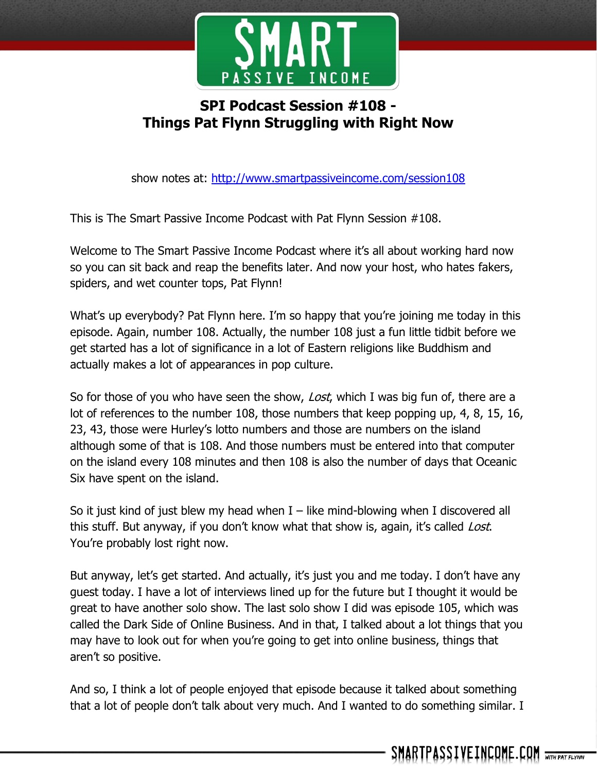

## **SPI Podcast Session #108 - Things Pat Flynn Struggling with Right Now**

show notes at:<http://www.smartpassiveincome.com/session108>

This is The Smart Passive Income Podcast with Pat Flynn Session #108.

Welcome to The Smart Passive Income Podcast where it's all about working hard now so you can sit back and reap the benefits later. And now your host, who hates fakers, spiders, and wet counter tops, Pat Flynn!

What's up everybody? Pat Flynn here. I'm so happy that you're joining me today in this episode. Again, number 108. Actually, the number 108 just a fun little tidbit before we get started has a lot of significance in a lot of Eastern religions like Buddhism and actually makes a lot of appearances in pop culture.

So for those of you who have seen the show, *Lost*, which I was big fun of, there are a lot of references to the number 108, those numbers that keep popping up, 4, 8, 15, 16, 23, 43, those were Hurley's lotto numbers and those are numbers on the island although some of that is 108. And those numbers must be entered into that computer on the island every 108 minutes and then 108 is also the number of days that Oceanic Six have spent on the island.

So it just kind of just blew my head when  $I$  – like mind-blowing when I discovered all this stuff. But anyway, if you don't know what that show is, again, it's called *Lost*. You're probably lost right now.

But anyway, let's get started. And actually, it's just you and me today. I don't have any guest today. I have a lot of interviews lined up for the future but I thought it would be great to have another solo show. The last solo show I did was episode 105, which was called the Dark Side of Online Business. And in that, I talked about a lot things that you may have to look out for when you're going to get into online business, things that aren't so positive.

And so, I think a lot of people enjoyed that episode because it talked about something that a lot of people don't talk about very much. And I wanted to do something similar. I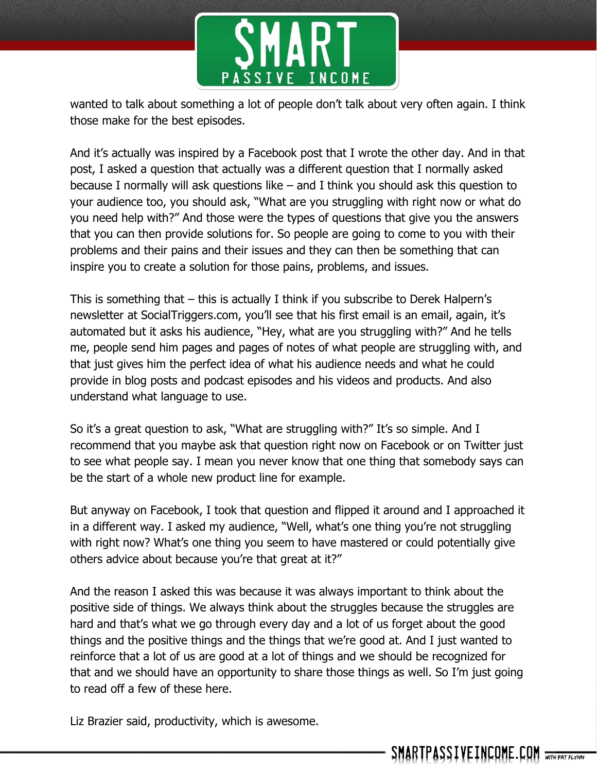

wanted to talk about something a lot of people don't talk about very often again. I think those make for the best episodes.

And it's actually was inspired by a Facebook post that I wrote the other day. And in that post, I asked a question that actually was a different question that I normally asked because I normally will ask questions like – and I think you should ask this question to your audience too, you should ask, "What are you struggling with right now or what do you need help with?" And those were the types of questions that give you the answers that you can then provide solutions for. So people are going to come to you with their problems and their pains and their issues and they can then be something that can inspire you to create a solution for those pains, problems, and issues.

This is something that – this is actually I think if you subscribe to Derek Halpern's newsletter at SocialTriggers.com, you'll see that his first email is an email, again, it's automated but it asks his audience, "Hey, what are you struggling with?" And he tells me, people send him pages and pages of notes of what people are struggling with, and that just gives him the perfect idea of what his audience needs and what he could provide in blog posts and podcast episodes and his videos and products. And also understand what language to use.

So it's a great question to ask, "What are struggling with?" It's so simple. And I recommend that you maybe ask that question right now on Facebook or on Twitter just to see what people say. I mean you never know that one thing that somebody says can be the start of a whole new product line for example.

But anyway on Facebook, I took that question and flipped it around and I approached it in a different way. I asked my audience, "Well, what's one thing you're not struggling with right now? What's one thing you seem to have mastered or could potentially give others advice about because you're that great at it?"

And the reason I asked this was because it was always important to think about the positive side of things. We always think about the struggles because the struggles are hard and that's what we go through every day and a lot of us forget about the good things and the positive things and the things that we're good at. And I just wanted to reinforce that a lot of us are good at a lot of things and we should be recognized for that and we should have an opportunity to share those things as well. So I'm just going to read off a few of these here.

Liz Brazier said, productivity, which is awesome.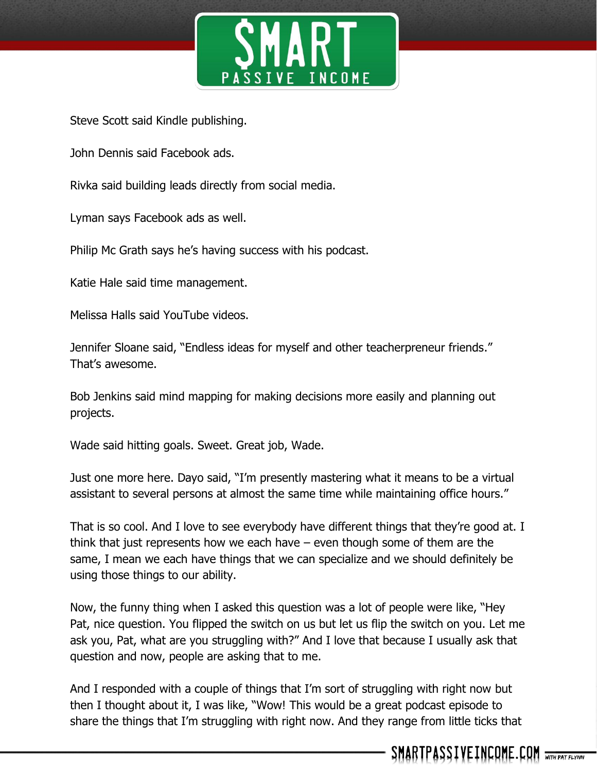

Steve Scott said Kindle publishing.

John Dennis said Facebook ads.

Rivka said building leads directly from social media.

Lyman says Facebook ads as well.

Philip Mc Grath says he's having success with his podcast.

Katie Hale said time management.

Melissa Halls said YouTube videos.

Jennifer Sloane said, "Endless ideas for myself and other teacherpreneur friends." That's awesome.

Bob Jenkins said mind mapping for making decisions more easily and planning out projects.

Wade said hitting goals. Sweet. Great job, Wade.

Just one more here. Dayo said, "I'm presently mastering what it means to be a virtual assistant to several persons at almost the same time while maintaining office hours."

That is so cool. And I love to see everybody have different things that they're good at. I think that just represents how we each have – even though some of them are the same, I mean we each have things that we can specialize and we should definitely be using those things to our ability.

Now, the funny thing when I asked this question was a lot of people were like, "Hey Pat, nice question. You flipped the switch on us but let us flip the switch on you. Let me ask you, Pat, what are you struggling with?" And I love that because I usually ask that question and now, people are asking that to me.

And I responded with a couple of things that I'm sort of struggling with right now but then I thought about it, I was like, "Wow! This would be a great podcast episode to share the things that I'm struggling with right now. And they range from little ticks that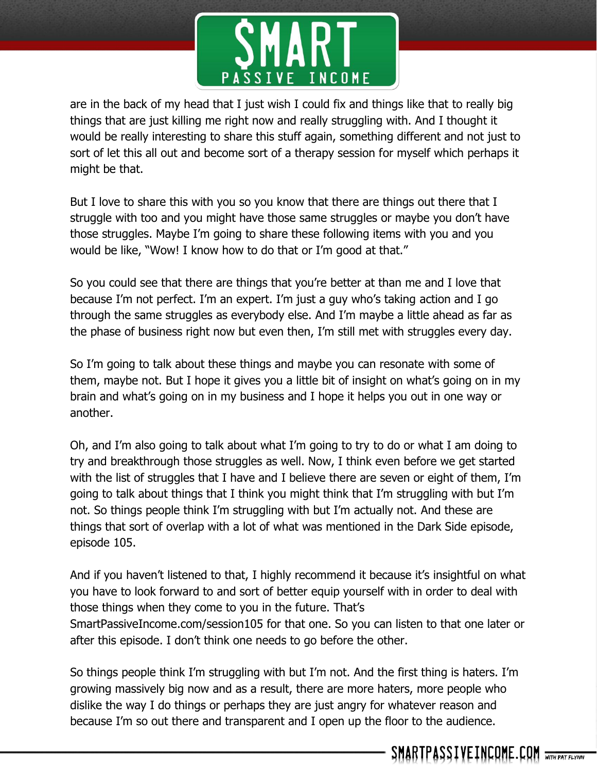

are in the back of my head that I just wish I could fix and things like that to really big things that are just killing me right now and really struggling with. And I thought it would be really interesting to share this stuff again, something different and not just to sort of let this all out and become sort of a therapy session for myself which perhaps it might be that.

But I love to share this with you so you know that there are things out there that I struggle with too and you might have those same struggles or maybe you don't have those struggles. Maybe I'm going to share these following items with you and you would be like, "Wow! I know how to do that or I'm good at that."

So you could see that there are things that you're better at than me and I love that because I'm not perfect. I'm an expert. I'm just a guy who's taking action and I go through the same struggles as everybody else. And I'm maybe a little ahead as far as the phase of business right now but even then, I'm still met with struggles every day.

So I'm going to talk about these things and maybe you can resonate with some of them, maybe not. But I hope it gives you a little bit of insight on what's going on in my brain and what's going on in my business and I hope it helps you out in one way or another.

Oh, and I'm also going to talk about what I'm going to try to do or what I am doing to try and breakthrough those struggles as well. Now, I think even before we get started with the list of struggles that I have and I believe there are seven or eight of them, I'm going to talk about things that I think you might think that I'm struggling with but I'm not. So things people think I'm struggling with but I'm actually not. And these are things that sort of overlap with a lot of what was mentioned in the Dark Side episode, episode 105.

And if you haven't listened to that, I highly recommend it because it's insightful on what you have to look forward to and sort of better equip yourself with in order to deal with those things when they come to you in the future. That's SmartPassiveIncome.com/session105 for that one. So you can listen to that one later or after this episode. I don't think one needs to go before the other.

So things people think I'm struggling with but I'm not. And the first thing is haters. I'm growing massively big now and as a result, there are more haters, more people who dislike the way I do things or perhaps they are just angry for whatever reason and because I'm so out there and transparent and I open up the floor to the audience.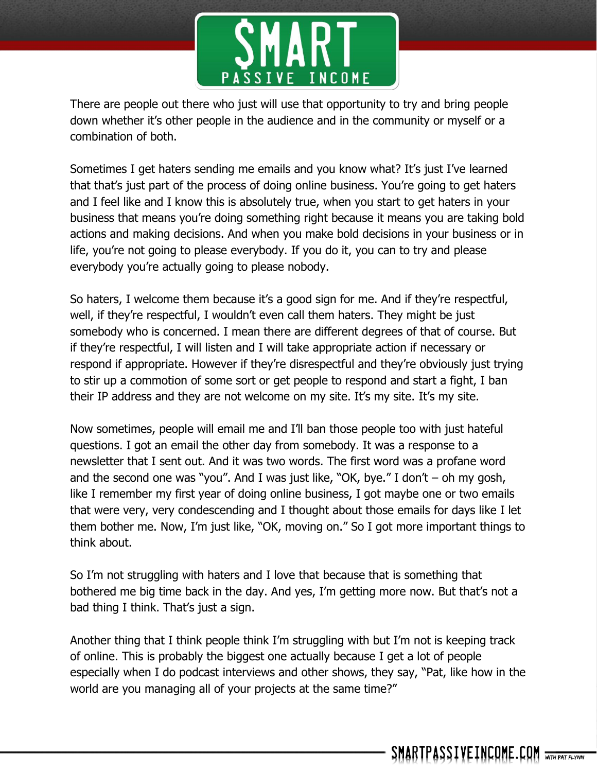

There are people out there who just will use that opportunity to try and bring people down whether it's other people in the audience and in the community or myself or a combination of both.

Sometimes I get haters sending me emails and you know what? It's just I've learned that that's just part of the process of doing online business. You're going to get haters and I feel like and I know this is absolutely true, when you start to get haters in your business that means you're doing something right because it means you are taking bold actions and making decisions. And when you make bold decisions in your business or in life, you're not going to please everybody. If you do it, you can to try and please everybody you're actually going to please nobody.

So haters, I welcome them because it's a good sign for me. And if they're respectful, well, if they're respectful, I wouldn't even call them haters. They might be just somebody who is concerned. I mean there are different degrees of that of course. But if they're respectful, I will listen and I will take appropriate action if necessary or respond if appropriate. However if they're disrespectful and they're obviously just trying to stir up a commotion of some sort or get people to respond and start a fight, I ban their IP address and they are not welcome on my site. It's my site. It's my site.

Now sometimes, people will email me and I'll ban those people too with just hateful questions. I got an email the other day from somebody. It was a response to a newsletter that I sent out. And it was two words. The first word was a profane word and the second one was "you". And I was just like, "OK, bye." I don't  $-$  oh my gosh, like I remember my first year of doing online business, I got maybe one or two emails that were very, very condescending and I thought about those emails for days like I let them bother me. Now, I'm just like, "OK, moving on." So I got more important things to think about.

So I'm not struggling with haters and I love that because that is something that bothered me big time back in the day. And yes, I'm getting more now. But that's not a bad thing I think. That's just a sign.

Another thing that I think people think I'm struggling with but I'm not is keeping track of online. This is probably the biggest one actually because I get a lot of people especially when I do podcast interviews and other shows, they say, "Pat, like how in the world are you managing all of your projects at the same time?"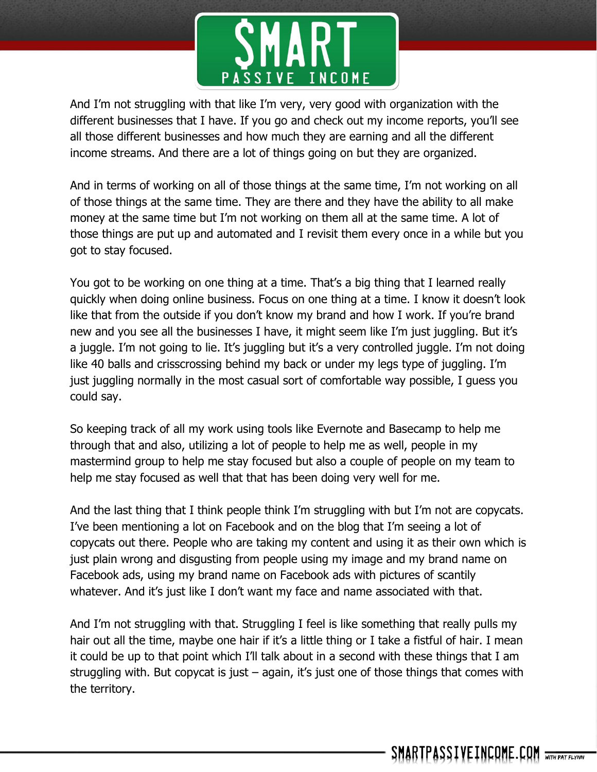

And I'm not struggling with that like I'm very, very good with organization with the different businesses that I have. If you go and check out my income reports, you'll see all those different businesses and how much they are earning and all the different income streams. And there are a lot of things going on but they are organized.

And in terms of working on all of those things at the same time, I'm not working on all of those things at the same time. They are there and they have the ability to all make money at the same time but I'm not working on them all at the same time. A lot of those things are put up and automated and I revisit them every once in a while but you got to stay focused.

You got to be working on one thing at a time. That's a big thing that I learned really quickly when doing online business. Focus on one thing at a time. I know it doesn't look like that from the outside if you don't know my brand and how I work. If you're brand new and you see all the businesses I have, it might seem like I'm just juggling. But it's a juggle. I'm not going to lie. It's juggling but it's a very controlled juggle. I'm not doing like 40 balls and crisscrossing behind my back or under my legs type of juggling. I'm just juggling normally in the most casual sort of comfortable way possible, I guess you could say.

So keeping track of all my work using tools like Evernote and Basecamp to help me through that and also, utilizing a lot of people to help me as well, people in my mastermind group to help me stay focused but also a couple of people on my team to help me stay focused as well that that has been doing very well for me.

And the last thing that I think people think I'm struggling with but I'm not are copycats. I've been mentioning a lot on Facebook and on the blog that I'm seeing a lot of copycats out there. People who are taking my content and using it as their own which is just plain wrong and disgusting from people using my image and my brand name on Facebook ads, using my brand name on Facebook ads with pictures of scantily whatever. And it's just like I don't want my face and name associated with that.

And I'm not struggling with that. Struggling I feel is like something that really pulls my hair out all the time, maybe one hair if it's a little thing or I take a fistful of hair. I mean it could be up to that point which I'll talk about in a second with these things that I am struggling with. But copycat is just – again, it's just one of those things that comes with the territory.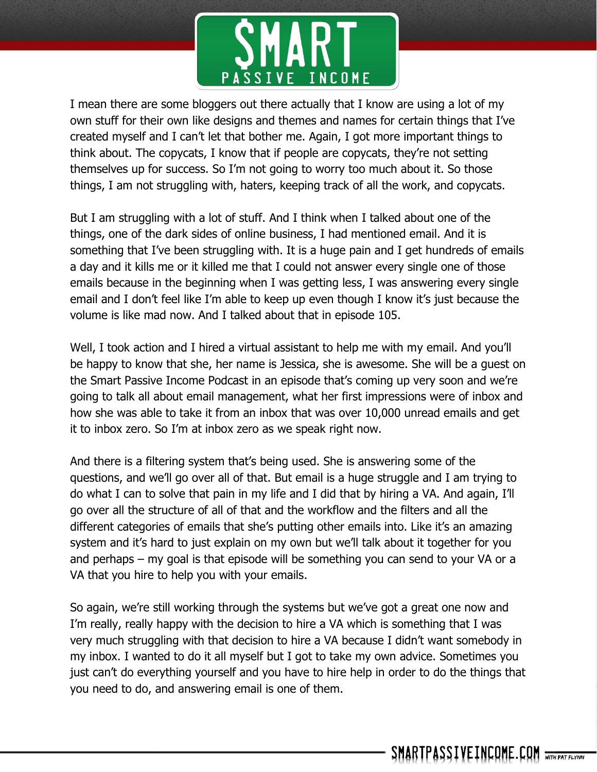

I mean there are some bloggers out there actually that I know are using a lot of my own stuff for their own like designs and themes and names for certain things that I've created myself and I can't let that bother me. Again, I got more important things to think about. The copycats, I know that if people are copycats, they're not setting themselves up for success. So I'm not going to worry too much about it. So those things, I am not struggling with, haters, keeping track of all the work, and copycats.

But I am struggling with a lot of stuff. And I think when I talked about one of the things, one of the dark sides of online business, I had mentioned email. And it is something that I've been struggling with. It is a huge pain and I get hundreds of emails a day and it kills me or it killed me that I could not answer every single one of those emails because in the beginning when I was getting less, I was answering every single email and I don't feel like I'm able to keep up even though I know it's just because the volume is like mad now. And I talked about that in episode 105.

Well, I took action and I hired a virtual assistant to help me with my email. And you'll be happy to know that she, her name is Jessica, she is awesome. She will be a guest on the Smart Passive Income Podcast in an episode that's coming up very soon and we're going to talk all about email management, what her first impressions were of inbox and how she was able to take it from an inbox that was over 10,000 unread emails and get it to inbox zero. So I'm at inbox zero as we speak right now.

And there is a filtering system that's being used. She is answering some of the questions, and we'll go over all of that. But email is a huge struggle and I am trying to do what I can to solve that pain in my life and I did that by hiring a VA. And again, I'll go over all the structure of all of that and the workflow and the filters and all the different categories of emails that she's putting other emails into. Like it's an amazing system and it's hard to just explain on my own but we'll talk about it together for you and perhaps – my goal is that episode will be something you can send to your VA or a VA that you hire to help you with your emails.

So again, we're still working through the systems but we've got a great one now and I'm really, really happy with the decision to hire a VA which is something that I was very much struggling with that decision to hire a VA because I didn't want somebody in my inbox. I wanted to do it all myself but I got to take my own advice. Sometimes you just can't do everything yourself and you have to hire help in order to do the things that you need to do, and answering email is one of them.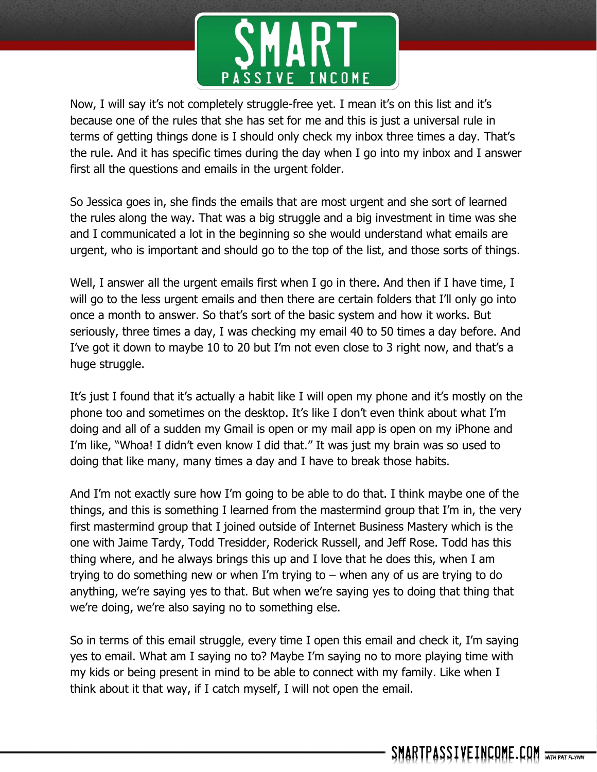

Now, I will say it's not completely struggle-free yet. I mean it's on this list and it's because one of the rules that she has set for me and this is just a universal rule in terms of getting things done is I should only check my inbox three times a day. That's the rule. And it has specific times during the day when I go into my inbox and I answer first all the questions and emails in the urgent folder.

So Jessica goes in, she finds the emails that are most urgent and she sort of learned the rules along the way. That was a big struggle and a big investment in time was she and I communicated a lot in the beginning so she would understand what emails are urgent, who is important and should go to the top of the list, and those sorts of things.

Well, I answer all the urgent emails first when I go in there. And then if I have time, I will go to the less urgent emails and then there are certain folders that I'll only go into once a month to answer. So that's sort of the basic system and how it works. But seriously, three times a day, I was checking my email 40 to 50 times a day before. And I've got it down to maybe 10 to 20 but I'm not even close to 3 right now, and that's a huge struggle.

It's just I found that it's actually a habit like I will open my phone and it's mostly on the phone too and sometimes on the desktop. It's like I don't even think about what I'm doing and all of a sudden my Gmail is open or my mail app is open on my iPhone and I'm like, "Whoa! I didn't even know I did that." It was just my brain was so used to doing that like many, many times a day and I have to break those habits.

And I'm not exactly sure how I'm going to be able to do that. I think maybe one of the things, and this is something I learned from the mastermind group that I'm in, the very first mastermind group that I joined outside of Internet Business Mastery which is the one with Jaime Tardy, Todd Tresidder, Roderick Russell, and Jeff Rose. Todd has this thing where, and he always brings this up and I love that he does this, when I am trying to do something new or when I'm trying to – when any of us are trying to do anything, we're saying yes to that. But when we're saying yes to doing that thing that we're doing, we're also saying no to something else.

So in terms of this email struggle, every time I open this email and check it, I'm saying yes to email. What am I saying no to? Maybe I'm saying no to more playing time with my kids or being present in mind to be able to connect with my family. Like when I think about it that way, if I catch myself, I will not open the email.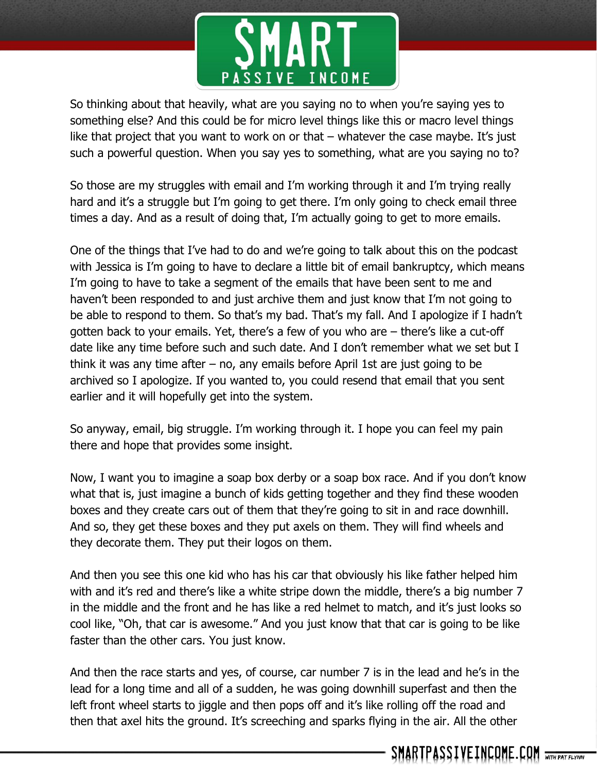

So thinking about that heavily, what are you saying no to when you're saying yes to something else? And this could be for micro level things like this or macro level things like that project that you want to work on or that  $-$  whatever the case maybe. It's just such a powerful question. When you say yes to something, what are you saying no to?

So those are my struggles with email and I'm working through it and I'm trying really hard and it's a struggle but I'm going to get there. I'm only going to check email three times a day. And as a result of doing that, I'm actually going to get to more emails.

One of the things that I've had to do and we're going to talk about this on the podcast with Jessica is I'm going to have to declare a little bit of email bankruptcy, which means I'm going to have to take a segment of the emails that have been sent to me and haven't been responded to and just archive them and just know that I'm not going to be able to respond to them. So that's my bad. That's my fall. And I apologize if I hadn't gotten back to your emails. Yet, there's a few of you who are – there's like a cut-off date like any time before such and such date. And I don't remember what we set but I think it was any time after – no, any emails before April 1st are just going to be archived so I apologize. If you wanted to, you could resend that email that you sent earlier and it will hopefully get into the system.

So anyway, email, big struggle. I'm working through it. I hope you can feel my pain there and hope that provides some insight.

Now, I want you to imagine a soap box derby or a soap box race. And if you don't know what that is, just imagine a bunch of kids getting together and they find these wooden boxes and they create cars out of them that they're going to sit in and race downhill. And so, they get these boxes and they put axels on them. They will find wheels and they decorate them. They put their logos on them.

And then you see this one kid who has his car that obviously his like father helped him with and it's red and there's like a white stripe down the middle, there's a big number 7 in the middle and the front and he has like a red helmet to match, and it's just looks so cool like, "Oh, that car is awesome." And you just know that that car is going to be like faster than the other cars. You just know.

And then the race starts and yes, of course, car number 7 is in the lead and he's in the lead for a long time and all of a sudden, he was going downhill superfast and then the left front wheel starts to jiggle and then pops off and it's like rolling off the road and then that axel hits the ground. It's screeching and sparks flying in the air. All the other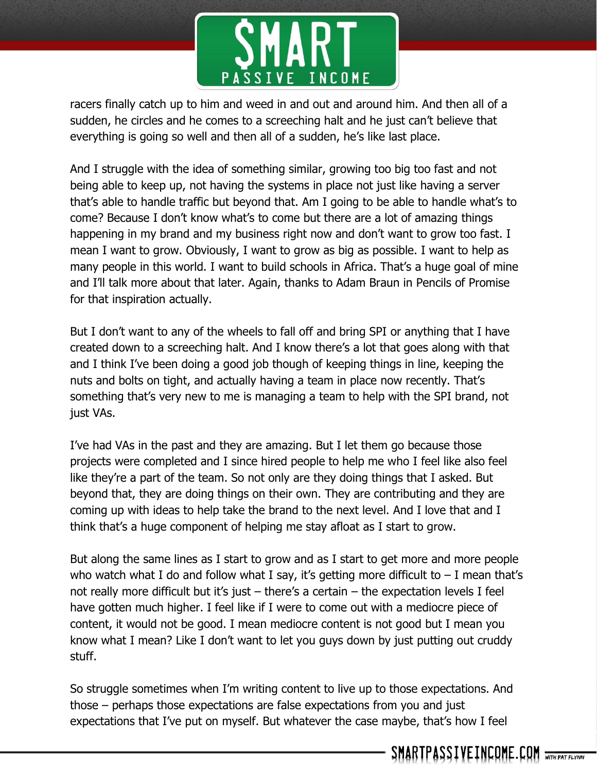

racers finally catch up to him and weed in and out and around him. And then all of a sudden, he circles and he comes to a screeching halt and he just can't believe that everything is going so well and then all of a sudden, he's like last place.

And I struggle with the idea of something similar, growing too big too fast and not being able to keep up, not having the systems in place not just like having a server that's able to handle traffic but beyond that. Am I going to be able to handle what's to come? Because I don't know what's to come but there are a lot of amazing things happening in my brand and my business right now and don't want to grow too fast. I mean I want to grow. Obviously, I want to grow as big as possible. I want to help as many people in this world. I want to build schools in Africa. That's a huge goal of mine and I'll talk more about that later. Again, thanks to Adam Braun in Pencils of Promise for that inspiration actually.

But I don't want to any of the wheels to fall off and bring SPI or anything that I have created down to a screeching halt. And I know there's a lot that goes along with that and I think I've been doing a good job though of keeping things in line, keeping the nuts and bolts on tight, and actually having a team in place now recently. That's something that's very new to me is managing a team to help with the SPI brand, not just VAs.

I've had VAs in the past and they are amazing. But I let them go because those projects were completed and I since hired people to help me who I feel like also feel like they're a part of the team. So not only are they doing things that I asked. But beyond that, they are doing things on their own. They are contributing and they are coming up with ideas to help take the brand to the next level. And I love that and I think that's a huge component of helping me stay afloat as I start to grow.

But along the same lines as I start to grow and as I start to get more and more people who watch what I do and follow what I say, it's getting more difficult to  $-$  I mean that's not really more difficult but it's just – there's a certain – the expectation levels I feel have gotten much higher. I feel like if I were to come out with a mediocre piece of content, it would not be good. I mean mediocre content is not good but I mean you know what I mean? Like I don't want to let you guys down by just putting out cruddy stuff.

So struggle sometimes when I'm writing content to live up to those expectations. And those – perhaps those expectations are false expectations from you and just expectations that I've put on myself. But whatever the case maybe, that's how I feel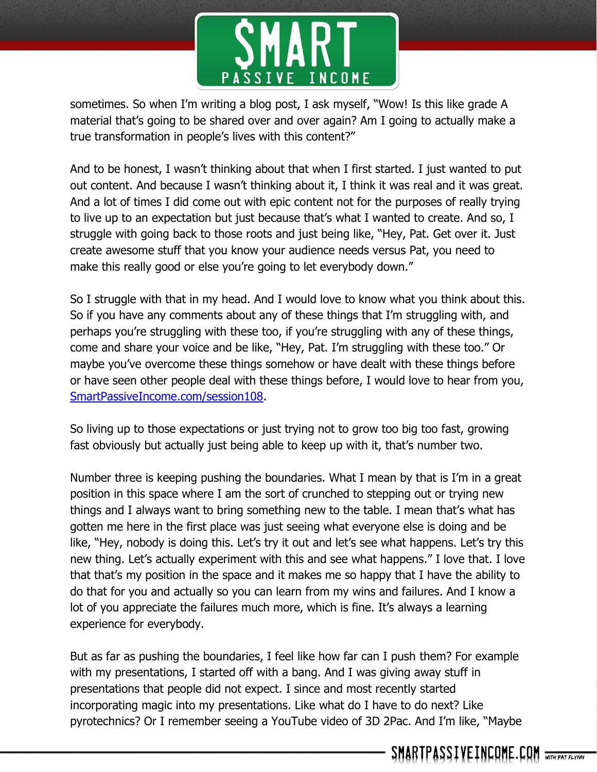

sometimes. So when I'm writing a blog post, I ask myself, "Wow! Is this like grade A material that's going to be shared over and over again? Am I going to actually make a true transformation in people's lives with this content?"

And to be honest, I wasn't thinking about that when I first started. I just wanted to put out content. And because I wasn't thinking about it, I think it was real and it was great. And a lot of times I did come out with epic content not for the purposes of really trying to live up to an expectation but just because that's what I wanted to create. And so, I struggle with going back to those roots and just being like, "Hey, Pat. Get over it. Just create awesome stuff that you know your audience needs versus Pat, you need to make this really good or else you're going to let everybody down."

So I struggle with that in my head. And I would love to know what you think about this. So if you have any comments about any of these things that I'm struggling with, and perhaps you're struggling with these too, if you're struggling with any of these things, come and share your voice and be like, "Hey, Pat. I'm struggling with these too." Or maybe you've overcome these things somehow or have dealt with these things before or have seen other people deal with these things before, I would love to hear from you, [SmartPassiveIncome.com/session108.](http://smartpassiveincome.com/session108)

So living up to those expectations or just trying not to grow too big too fast, growing fast obviously but actually just being able to keep up with it, that's number two.

Number three is keeping pushing the boundaries. What I mean by that is I'm in a great position in this space where I am the sort of crunched to stepping out or trying new things and I always want to bring something new to the table. I mean that's what has gotten me here in the first place was just seeing what everyone else is doing and be like, "Hey, nobody is doing this. Let's try it out and let's see what happens. Let's try this new thing. Let's actually experiment with this and see what happens." I love that. I love that that's my position in the space and it makes me so happy that I have the ability to do that for you and actually so you can learn from my wins and failures. And I know a lot of you appreciate the failures much more, which is fine. It's always a learning experience for everybody.

But as far as pushing the boundaries, I feel like how far can I push them? For example with my presentations, I started off with a bang. And I was giving away stuff in presentations that people did not expect. I since and most recently started incorporating magic into my presentations. Like what do I have to do next? Like pyrotechnics? Or I remember seeing a YouTube video of 3D 2Pac. And I'm like, "Maybe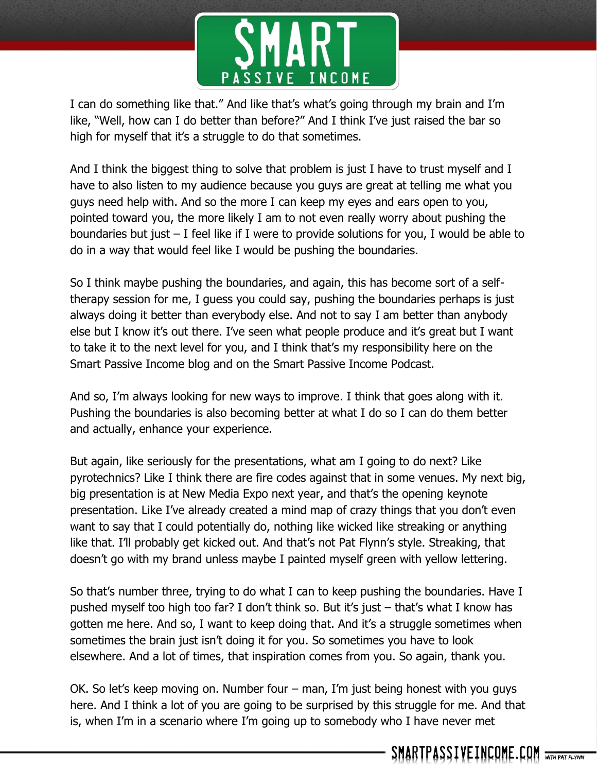

I can do something like that." And like that's what's going through my brain and I'm like, "Well, how can I do better than before?" And I think I've just raised the bar so high for myself that it's a struggle to do that sometimes.

And I think the biggest thing to solve that problem is just I have to trust myself and I have to also listen to my audience because you guys are great at telling me what you guys need help with. And so the more I can keep my eyes and ears open to you, pointed toward you, the more likely I am to not even really worry about pushing the boundaries but just – I feel like if I were to provide solutions for you, I would be able to do in a way that would feel like I would be pushing the boundaries.

So I think maybe pushing the boundaries, and again, this has become sort of a selftherapy session for me, I guess you could say, pushing the boundaries perhaps is just always doing it better than everybody else. And not to say I am better than anybody else but I know it's out there. I've seen what people produce and it's great but I want to take it to the next level for you, and I think that's my responsibility here on the Smart Passive Income blog and on the Smart Passive Income Podcast.

And so, I'm always looking for new ways to improve. I think that goes along with it. Pushing the boundaries is also becoming better at what I do so I can do them better and actually, enhance your experience.

But again, like seriously for the presentations, what am I going to do next? Like pyrotechnics? Like I think there are fire codes against that in some venues. My next big, big presentation is at New Media Expo next year, and that's the opening keynote presentation. Like I've already created a mind map of crazy things that you don't even want to say that I could potentially do, nothing like wicked like streaking or anything like that. I'll probably get kicked out. And that's not Pat Flynn's style. Streaking, that doesn't go with my brand unless maybe I painted myself green with yellow lettering.

So that's number three, trying to do what I can to keep pushing the boundaries. Have I pushed myself too high too far? I don't think so. But it's just – that's what I know has gotten me here. And so, I want to keep doing that. And it's a struggle sometimes when sometimes the brain just isn't doing it for you. So sometimes you have to look elsewhere. And a lot of times, that inspiration comes from you. So again, thank you.

OK. So let's keep moving on. Number four – man, I'm just being honest with you guys here. And I think a lot of you are going to be surprised by this struggle for me. And that is, when I'm in a scenario where I'm going up to somebody who I have never met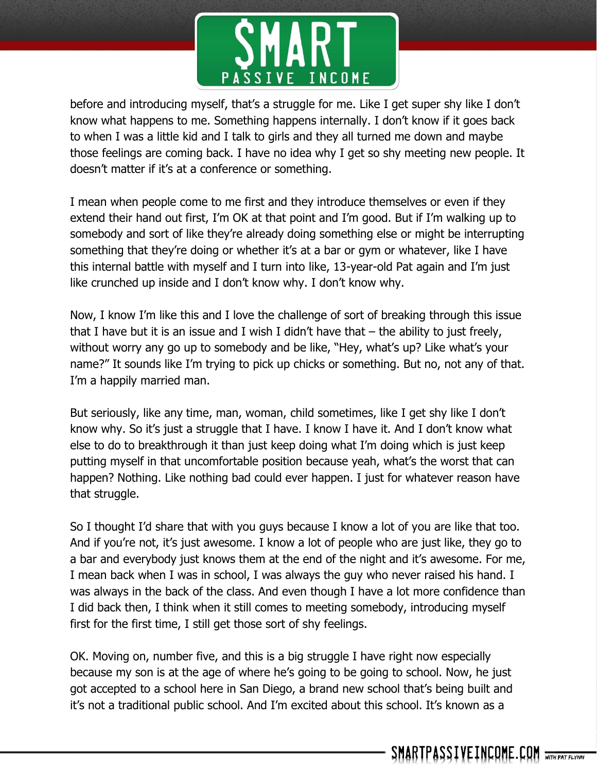

before and introducing myself, that's a struggle for me. Like I get super shy like I don't know what happens to me. Something happens internally. I don't know if it goes back to when I was a little kid and I talk to girls and they all turned me down and maybe those feelings are coming back. I have no idea why I get so shy meeting new people. It doesn't matter if it's at a conference or something.

I mean when people come to me first and they introduce themselves or even if they extend their hand out first, I'm OK at that point and I'm good. But if I'm walking up to somebody and sort of like they're already doing something else or might be interrupting something that they're doing or whether it's at a bar or gym or whatever, like I have this internal battle with myself and I turn into like, 13-year-old Pat again and I'm just like crunched up inside and I don't know why. I don't know why.

Now, I know I'm like this and I love the challenge of sort of breaking through this issue that I have but it is an issue and I wish I didn't have that  $-$  the ability to just freely, without worry any go up to somebody and be like, "Hey, what's up? Like what's your name?" It sounds like I'm trying to pick up chicks or something. But no, not any of that. I'm a happily married man.

But seriously, like any time, man, woman, child sometimes, like I get shy like I don't know why. So it's just a struggle that I have. I know I have it. And I don't know what else to do to breakthrough it than just keep doing what I'm doing which is just keep putting myself in that uncomfortable position because yeah, what's the worst that can happen? Nothing. Like nothing bad could ever happen. I just for whatever reason have that struggle.

So I thought I'd share that with you guys because I know a lot of you are like that too. And if you're not, it's just awesome. I know a lot of people who are just like, they go to a bar and everybody just knows them at the end of the night and it's awesome. For me, I mean back when I was in school, I was always the guy who never raised his hand. I was always in the back of the class. And even though I have a lot more confidence than I did back then, I think when it still comes to meeting somebody, introducing myself first for the first time, I still get those sort of shy feelings.

OK. Moving on, number five, and this is a big struggle I have right now especially because my son is at the age of where he's going to be going to school. Now, he just got accepted to a school here in San Diego, a brand new school that's being built and it's not a traditional public school. And I'm excited about this school. It's known as a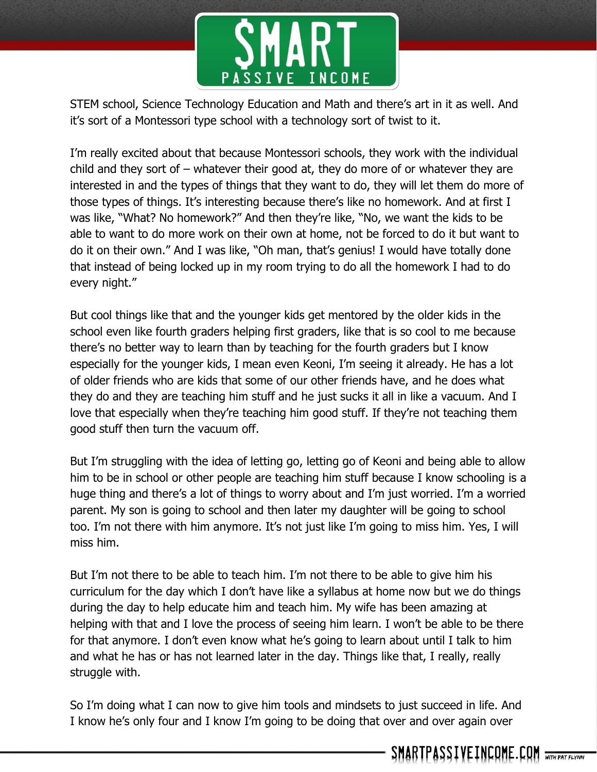

STEM school, Science Technology Education and Math and there's art in it as well. And it's sort of a Montessori type school with a technology sort of twist to it.

I'm really excited about that because Montessori schools, they work with the individual child and they sort of – whatever their good at, they do more of or whatever they are interested in and the types of things that they want to do, they will let them do more of those types of things. It's interesting because there's like no homework. And at first I was like, "What? No homework?" And then they're like, "No, we want the kids to be able to want to do more work on their own at home, not be forced to do it but want to do it on their own." And I was like, "Oh man, that's genius! I would have totally done that instead of being locked up in my room trying to do all the homework I had to do every night."

But cool things like that and the younger kids get mentored by the older kids in the school even like fourth graders helping first graders, like that is so cool to me because there's no better way to learn than by teaching for the fourth graders but I know especially for the younger kids, I mean even Keoni, I'm seeing it already. He has a lot of older friends who are kids that some of our other friends have, and he does what they do and they are teaching him stuff and he just sucks it all in like a vacuum. And I love that especially when they're teaching him good stuff. If they're not teaching them good stuff then turn the vacuum off.

But I'm struggling with the idea of letting go, letting go of Keoni and being able to allow him to be in school or other people are teaching him stuff because I know schooling is a huge thing and there's a lot of things to worry about and I'm just worried. I'm a worried parent. My son is going to school and then later my daughter will be going to school too. I'm not there with him anymore. It's not just like I'm going to miss him. Yes, I will miss him.

But I'm not there to be able to teach him. I'm not there to be able to give him his curriculum for the day which I don't have like a syllabus at home now but we do things during the day to help educate him and teach him. My wife has been amazing at helping with that and I love the process of seeing him learn. I won't be able to be there for that anymore. I don't even know what he's going to learn about until I talk to him and what he has or has not learned later in the day. Things like that, I really, really struggle with.

So I'm doing what I can now to give him tools and mindsets to just succeed in life. And I know he's only four and I know I'm going to be doing that over and over again over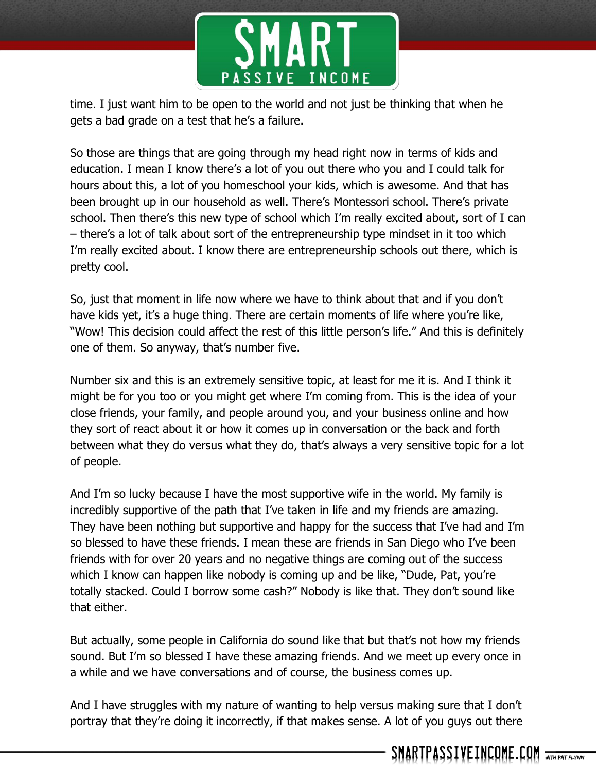

time. I just want him to be open to the world and not just be thinking that when he gets a bad grade on a test that he's a failure.

So those are things that are going through my head right now in terms of kids and education. I mean I know there's a lot of you out there who you and I could talk for hours about this, a lot of you homeschool your kids, which is awesome. And that has been brought up in our household as well. There's Montessori school. There's private school. Then there's this new type of school which I'm really excited about, sort of I can – there's a lot of talk about sort of the entrepreneurship type mindset in it too which I'm really excited about. I know there are entrepreneurship schools out there, which is pretty cool.

So, just that moment in life now where we have to think about that and if you don't have kids yet, it's a huge thing. There are certain moments of life where you're like, "Wow! This decision could affect the rest of this little person's life." And this is definitely one of them. So anyway, that's number five.

Number six and this is an extremely sensitive topic, at least for me it is. And I think it might be for you too or you might get where I'm coming from. This is the idea of your close friends, your family, and people around you, and your business online and how they sort of react about it or how it comes up in conversation or the back and forth between what they do versus what they do, that's always a very sensitive topic for a lot of people.

And I'm so lucky because I have the most supportive wife in the world. My family is incredibly supportive of the path that I've taken in life and my friends are amazing. They have been nothing but supportive and happy for the success that I've had and I'm so blessed to have these friends. I mean these are friends in San Diego who I've been friends with for over 20 years and no negative things are coming out of the success which I know can happen like nobody is coming up and be like, "Dude, Pat, you're totally stacked. Could I borrow some cash?" Nobody is like that. They don't sound like that either.

But actually, some people in California do sound like that but that's not how my friends sound. But I'm so blessed I have these amazing friends. And we meet up every once in a while and we have conversations and of course, the business comes up.

And I have struggles with my nature of wanting to help versus making sure that I don't portray that they're doing it incorrectly, if that makes sense. A lot of you guys out there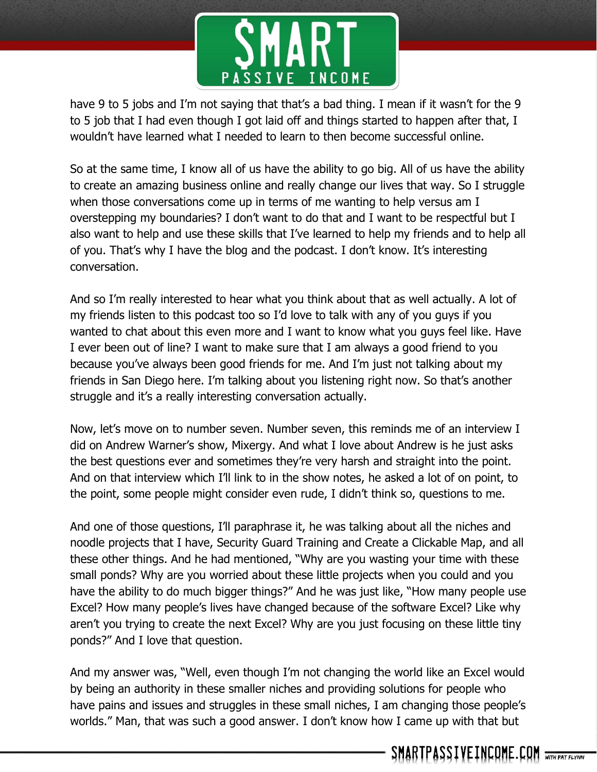

have 9 to 5 jobs and I'm not saying that that's a bad thing. I mean if it wasn't for the 9 to 5 job that I had even though I got laid off and things started to happen after that, I wouldn't have learned what I needed to learn to then become successful online.

So at the same time, I know all of us have the ability to go big. All of us have the ability to create an amazing business online and really change our lives that way. So I struggle when those conversations come up in terms of me wanting to help versus am I overstepping my boundaries? I don't want to do that and I want to be respectful but I also want to help and use these skills that I've learned to help my friends and to help all of you. That's why I have the blog and the podcast. I don't know. It's interesting conversation.

And so I'm really interested to hear what you think about that as well actually. A lot of my friends listen to this podcast too so I'd love to talk with any of you guys if you wanted to chat about this even more and I want to know what you guys feel like. Have I ever been out of line? I want to make sure that I am always a good friend to you because you've always been good friends for me. And I'm just not talking about my friends in San Diego here. I'm talking about you listening right now. So that's another struggle and it's a really interesting conversation actually.

Now, let's move on to number seven. Number seven, this reminds me of an interview I did on Andrew Warner's show, Mixergy. And what I love about Andrew is he just asks the best questions ever and sometimes they're very harsh and straight into the point. And on that interview which I'll link to in the show notes, he asked a lot of on point, to the point, some people might consider even rude, I didn't think so, questions to me.

And one of those questions, I'll paraphrase it, he was talking about all the niches and noodle projects that I have, Security Guard Training and Create a Clickable Map, and all these other things. And he had mentioned, "Why are you wasting your time with these small ponds? Why are you worried about these little projects when you could and you have the ability to do much bigger things?" And he was just like, "How many people use Excel? How many people's lives have changed because of the software Excel? Like why aren't you trying to create the next Excel? Why are you just focusing on these little tiny ponds?" And I love that question.

And my answer was, "Well, even though I'm not changing the world like an Excel would by being an authority in these smaller niches and providing solutions for people who have pains and issues and struggles in these small niches, I am changing those people's worlds." Man, that was such a good answer. I don't know how I came up with that but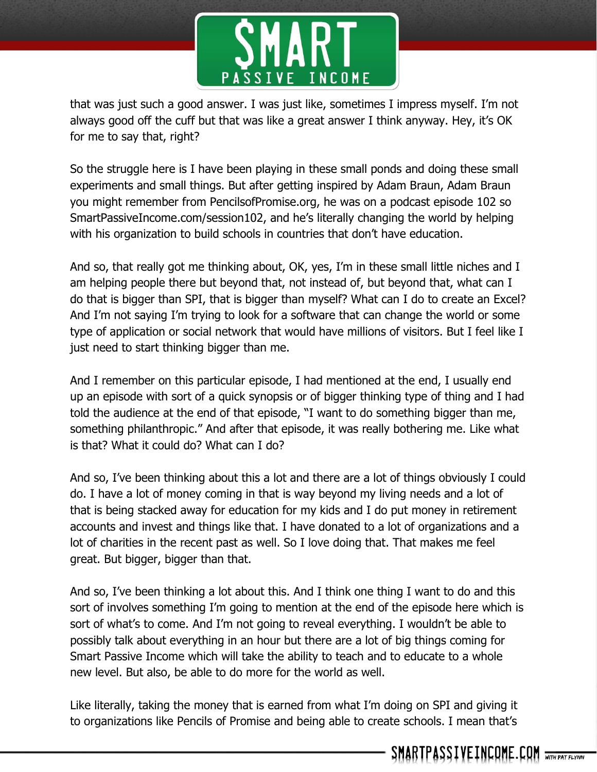

that was just such a good answer. I was just like, sometimes I impress myself. I'm not always good off the cuff but that was like a great answer I think anyway. Hey, it's OK for me to say that, right?

So the struggle here is I have been playing in these small ponds and doing these small experiments and small things. But after getting inspired by Adam Braun, Adam Braun you might remember from PencilsofPromise.org, he was on a podcast episode 102 so SmartPassiveIncome.com/session102, and he's literally changing the world by helping with his organization to build schools in countries that don't have education.

And so, that really got me thinking about, OK, yes, I'm in these small little niches and I am helping people there but beyond that, not instead of, but beyond that, what can I do that is bigger than SPI, that is bigger than myself? What can I do to create an Excel? And I'm not saying I'm trying to look for a software that can change the world or some type of application or social network that would have millions of visitors. But I feel like I just need to start thinking bigger than me.

And I remember on this particular episode, I had mentioned at the end, I usually end up an episode with sort of a quick synopsis or of bigger thinking type of thing and I had told the audience at the end of that episode, "I want to do something bigger than me, something philanthropic." And after that episode, it was really bothering me. Like what is that? What it could do? What can I do?

And so, I've been thinking about this a lot and there are a lot of things obviously I could do. I have a lot of money coming in that is way beyond my living needs and a lot of that is being stacked away for education for my kids and I do put money in retirement accounts and invest and things like that. I have donated to a lot of organizations and a lot of charities in the recent past as well. So I love doing that. That makes me feel great. But bigger, bigger than that.

And so, I've been thinking a lot about this. And I think one thing I want to do and this sort of involves something I'm going to mention at the end of the episode here which is sort of what's to come. And I'm not going to reveal everything. I wouldn't be able to possibly talk about everything in an hour but there are a lot of big things coming for Smart Passive Income which will take the ability to teach and to educate to a whole new level. But also, be able to do more for the world as well.

Like literally, taking the money that is earned from what I'm doing on SPI and giving it to organizations like Pencils of Promise and being able to create schools. I mean that's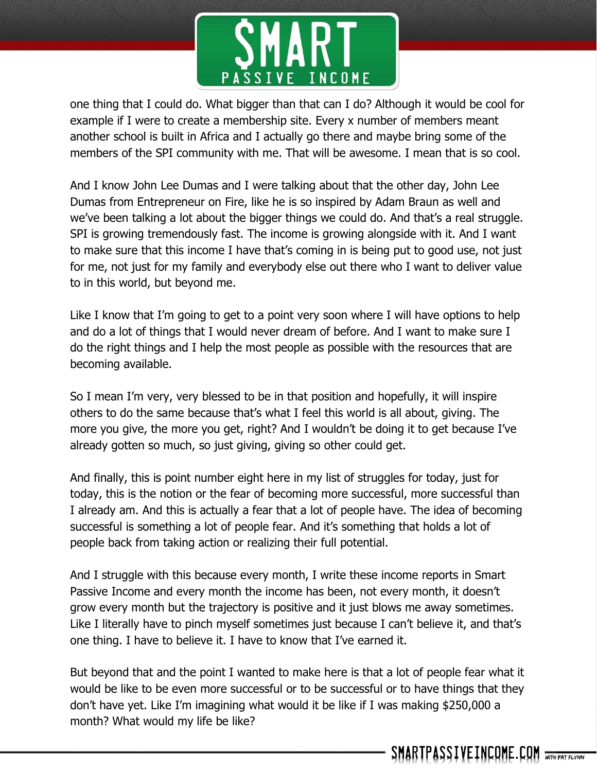

one thing that I could do. What bigger than that can I do? Although it would be cool for example if I were to create a membership site. Every x number of members meant another school is built in Africa and I actually go there and maybe bring some of the members of the SPI community with me. That will be awesome. I mean that is so cool.

And I know John Lee Dumas and I were talking about that the other day, John Lee Dumas from Entrepreneur on Fire, like he is so inspired by Adam Braun as well and we've been talking a lot about the bigger things we could do. And that's a real struggle. SPI is growing tremendously fast. The income is growing alongside with it. And I want to make sure that this income I have that's coming in is being put to good use, not just for me, not just for my family and everybody else out there who I want to deliver value to in this world, but beyond me.

Like I know that I'm going to get to a point very soon where I will have options to help and do a lot of things that I would never dream of before. And I want to make sure I do the right things and I help the most people as possible with the resources that are becoming available.

So I mean I'm very, very blessed to be in that position and hopefully, it will inspire others to do the same because that's what I feel this world is all about, giving. The more you give, the more you get, right? And I wouldn't be doing it to get because I've already gotten so much, so just giving, giving so other could get.

And finally, this is point number eight here in my list of struggles for today, just for today, this is the notion or the fear of becoming more successful, more successful than I already am. And this is actually a fear that a lot of people have. The idea of becoming successful is something a lot of people fear. And it's something that holds a lot of people back from taking action or realizing their full potential.

And I struggle with this because every month, I write these income reports in Smart Passive Income and every month the income has been, not every month, it doesn't grow every month but the trajectory is positive and it just blows me away sometimes. Like I literally have to pinch myself sometimes just because I can't believe it, and that's one thing. I have to believe it. I have to know that I've earned it.

But beyond that and the point I wanted to make here is that a lot of people fear what it would be like to be even more successful or to be successful or to have things that they don't have yet. Like I'm imagining what would it be like if I was making \$250,000 a month? What would my life be like?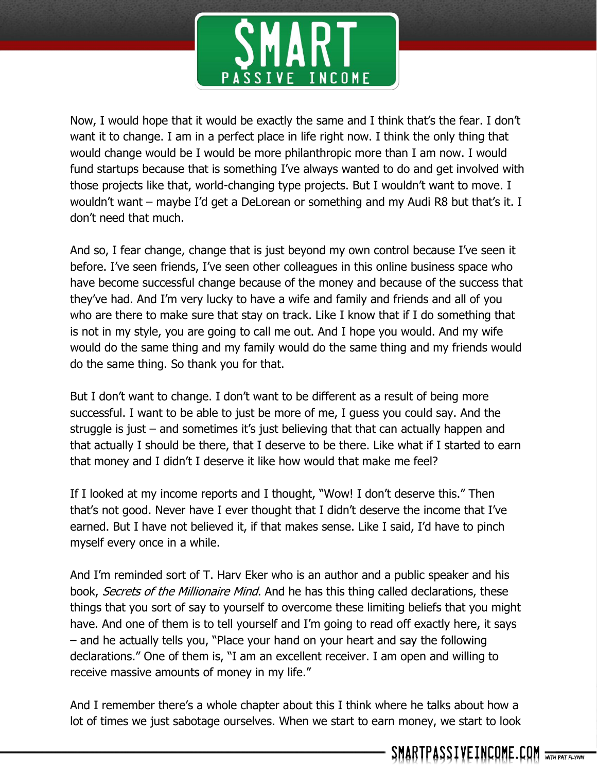

Now, I would hope that it would be exactly the same and I think that's the fear. I don't want it to change. I am in a perfect place in life right now. I think the only thing that would change would be I would be more philanthropic more than I am now. I would fund startups because that is something I've always wanted to do and get involved with those projects like that, world-changing type projects. But I wouldn't want to move. I wouldn't want – maybe I'd get a DeLorean or something and my Audi R8 but that's it. I don't need that much.

And so, I fear change, change that is just beyond my own control because I've seen it before. I've seen friends, I've seen other colleagues in this online business space who have become successful change because of the money and because of the success that they've had. And I'm very lucky to have a wife and family and friends and all of you who are there to make sure that stay on track. Like I know that if I do something that is not in my style, you are going to call me out. And I hope you would. And my wife would do the same thing and my family would do the same thing and my friends would do the same thing. So thank you for that.

But I don't want to change. I don't want to be different as a result of being more successful. I want to be able to just be more of me, I guess you could say. And the struggle is just – and sometimes it's just believing that that can actually happen and that actually I should be there, that I deserve to be there. Like what if I started to earn that money and I didn't I deserve it like how would that make me feel?

If I looked at my income reports and I thought, "Wow! I don't deserve this." Then that's not good. Never have I ever thought that I didn't deserve the income that I've earned. But I have not believed it, if that makes sense. Like I said, I'd have to pinch myself every once in a while.

And I'm reminded sort of T. Harv Eker who is an author and a public speaker and his book, *Secrets of the Millionaire Mind*. And he has this thing called declarations, these things that you sort of say to yourself to overcome these limiting beliefs that you might have. And one of them is to tell yourself and I'm going to read off exactly here, it says – and he actually tells you, "Place your hand on your heart and say the following declarations." One of them is, "I am an excellent receiver. I am open and willing to receive massive amounts of money in my life."

And I remember there's a whole chapter about this I think where he talks about how a lot of times we just sabotage ourselves. When we start to earn money, we start to look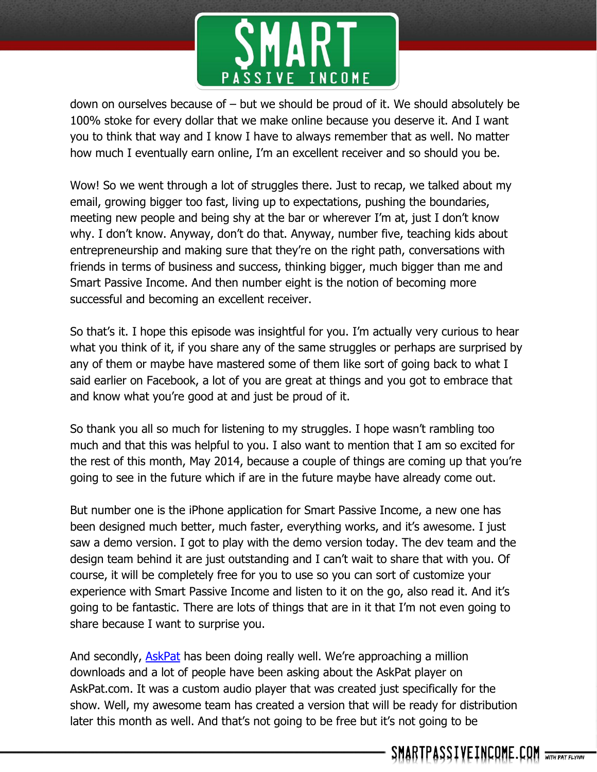

down on ourselves because of – but we should be proud of it. We should absolutely be 100% stoke for every dollar that we make online because you deserve it. And I want you to think that way and I know I have to always remember that as well. No matter how much I eventually earn online, I'm an excellent receiver and so should you be.

Wow! So we went through a lot of struggles there. Just to recap, we talked about my email, growing bigger too fast, living up to expectations, pushing the boundaries, meeting new people and being shy at the bar or wherever I'm at, just I don't know why. I don't know. Anyway, don't do that. Anyway, number five, teaching kids about entrepreneurship and making sure that they're on the right path, conversations with friends in terms of business and success, thinking bigger, much bigger than me and Smart Passive Income. And then number eight is the notion of becoming more successful and becoming an excellent receiver.

So that's it. I hope this episode was insightful for you. I'm actually very curious to hear what you think of it, if you share any of the same struggles or perhaps are surprised by any of them or maybe have mastered some of them like sort of going back to what I said earlier on Facebook, a lot of you are great at things and you got to embrace that and know what you're good at and just be proud of it.

So thank you all so much for listening to my struggles. I hope wasn't rambling too much and that this was helpful to you. I also want to mention that I am so excited for the rest of this month, May 2014, because a couple of things are coming up that you're going to see in the future which if are in the future maybe have already come out.

But number one is the iPhone application for Smart Passive Income, a new one has been designed much better, much faster, everything works, and it's awesome. I just saw a demo version. I got to play with the demo version today. The dev team and the design team behind it are just outstanding and I can't wait to share that with you. Of course, it will be completely free for you to use so you can sort of customize your experience with Smart Passive Income and listen to it on the go, also read it. And it's going to be fantastic. There are lots of things that are in it that I'm not even going to share because I want to surprise you.

And secondly, [AskPat](http://askpat.com/) has been doing really well. We're approaching a million downloads and a lot of people have been asking about the AskPat player on AskPat.com. It was a custom audio player that was created just specifically for the show. Well, my awesome team has created a version that will be ready for distribution later this month as well. And that's not going to be free but it's not going to be